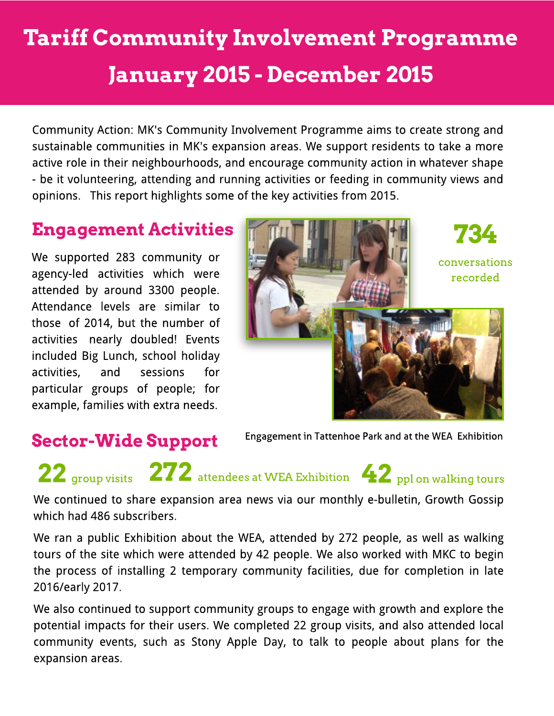## Tariff Community Involvement Programme January 2015 - December 2015

Community Action: MK's Community Involvement Programme aims to create strong and sustainable communities in MK's expansion areas. We support residents to take a more active role in their neighbourhoods, and encourage community action in whatever shape - be it volunteering, attending and running activities or feeding in community views and opinions. This report highlights some of the key activities from 2015.

We supported 283 community or agency-led activities which were attended by around 3300 people. Attendance levels are similar to those of 2014, but the number of activities nearly doubled! Events included Big Lunch, school holiday activities, and sessions for particular groups of people; for example, families with extra needs.



### Sector-Wide Support

Engagement in Tattenhoe Park and at the WEA Exhibition

# 22 <sub>group visits</sub> 272 attendees at WEA Exhibition 42 <sub>ppl on walking tours</sub>

We continued to share expansion area news via our monthly e-bulletin, Growth Gossip which had 486 subscribers.

We ran a public Exhibition about the WEA, attended by 272 people, as well as walking tours of the site which were attended by 42 people. We also worked with MKC to begin the process of installing 2 temporary community facilities, due for completion in late 2016/early 2017.

We also continued to support community groups to engage with growth and explore the potential impacts for their users. We completed 22 group visits, and also attended local community events, such as Stony Apple Day, to talk to people about plans for the expansion areas.